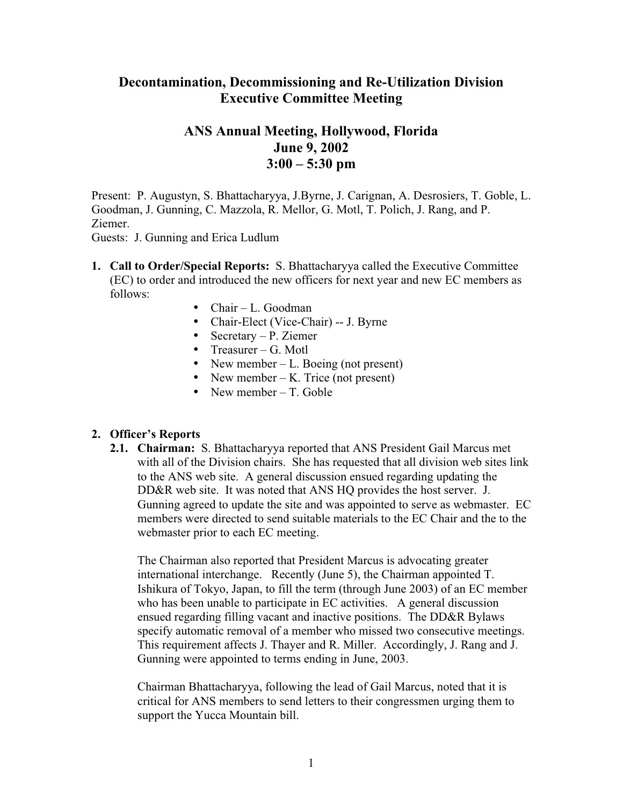## **Decontamination, Decommissioning and Re-Utilization Division Executive Committee Meeting**

## **ANS Annual Meeting, Hollywood, Florida June 9, 2002 3:00 – 5:30 pm**

Present: P. Augustyn, S. Bhattacharyya, J.Byrne, J. Carignan, A. Desrosiers, T. Goble, L. Goodman, J. Gunning, C. Mazzola, R. Mellor, G. Motl, T. Polich, J. Rang, and P. Ziemer.

Guests: J. Gunning and Erica Ludlum

- **1. Call to Order/Special Reports:** S. Bhattacharyya called the Executive Committee (EC) to order and introduced the new officers for next year and new EC members as follows:
	- $\bullet$  Chair L. Goodman
	- Chair-Elect (Vice-Chair) -- J. Byrne
	- Secretary P. Ziemer
	- Treasurer G. Motl
	- New member  $-L$ . Boeing (not present)
	- New member  $-K$ . Trice (not present)
	- New member  $-$  T. Goble

## **2. Officer's Reports**

**2.1. Chairman:** S. Bhattacharyya reported that ANS President Gail Marcus met with all of the Division chairs. She has requested that all division web sites link to the ANS web site. A general discussion ensued regarding updating the DD&R web site. It was noted that ANS HQ provides the host server. J. Gunning agreed to update the site and was appointed to serve as webmaster. EC members were directed to send suitable materials to the EC Chair and the to the webmaster prior to each EC meeting.

The Chairman also reported that President Marcus is advocating greater international interchange. Recently (June 5), the Chairman appointed T. Ishikura of Tokyo, Japan, to fill the term (through June 2003) of an EC member who has been unable to participate in EC activities. A general discussion ensued regarding filling vacant and inactive positions. The DD&R Bylaws specify automatic removal of a member who missed two consecutive meetings. This requirement affects J. Thayer and R. Miller. Accordingly, J. Rang and J. Gunning were appointed to terms ending in June, 2003.

Chairman Bhattacharyya, following the lead of Gail Marcus, noted that it is critical for ANS members to send letters to their congressmen urging them to support the Yucca Mountain bill.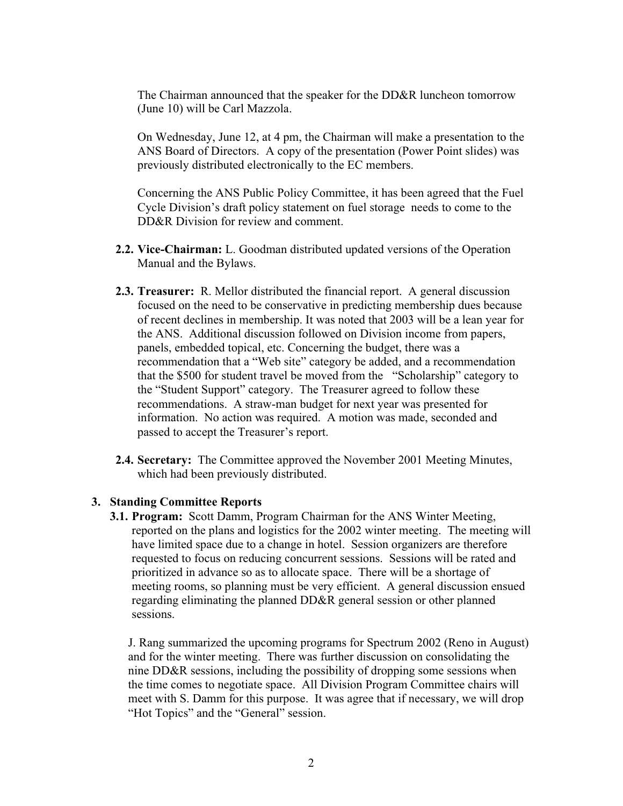The Chairman announced that the speaker for the DD&R luncheon tomorrow (June 10) will be Carl Mazzola.

On Wednesday, June 12, at 4 pm, the Chairman will make a presentation to the ANS Board of Directors. A copy of the presentation (Power Point slides) was previously distributed electronically to the EC members.

Concerning the ANS Public Policy Committee, it has been agreed that the Fuel Cycle Division's draft policy statement on fuel storage needs to come to the DD&R Division for review and comment.

- **2.2. Vice-Chairman:** L. Goodman distributed updated versions of the Operation Manual and the Bylaws.
- **2.3. Treasurer:** R. Mellor distributed the financial report. A general discussion focused on the need to be conservative in predicting membership dues because of recent declines in membership. It was noted that 2003 will be a lean year for the ANS. Additional discussion followed on Division income from papers, panels, embedded topical, etc. Concerning the budget, there was a recommendation that a "Web site" category be added, and a recommendation that the \$500 for student travel be moved from the "Scholarship" category to the "Student Support" category. The Treasurer agreed to follow these recommendations. A straw-man budget for next year was presented for information. No action was required. A motion was made, seconded and passed to accept the Treasurer's report.
- **2.4. Secretary:** The Committee approved the November 2001 Meeting Minutes, which had been previously distributed.

## **3. Standing Committee Reports**

**3.1. Program:** Scott Damm, Program Chairman for the ANS Winter Meeting, reported on the plans and logistics for the 2002 winter meeting. The meeting will have limited space due to a change in hotel. Session organizers are therefore requested to focus on reducing concurrent sessions. Sessions will be rated and prioritized in advance so as to allocate space. There will be a shortage of meeting rooms, so planning must be very efficient. A general discussion ensued regarding eliminating the planned DD&R general session or other planned sessions.

J. Rang summarized the upcoming programs for Spectrum 2002 (Reno in August) and for the winter meeting. There was further discussion on consolidating the nine DD&R sessions, including the possibility of dropping some sessions when the time comes to negotiate space. All Division Program Committee chairs will meet with S. Damm for this purpose. It was agree that if necessary, we will drop "Hot Topics" and the "General" session.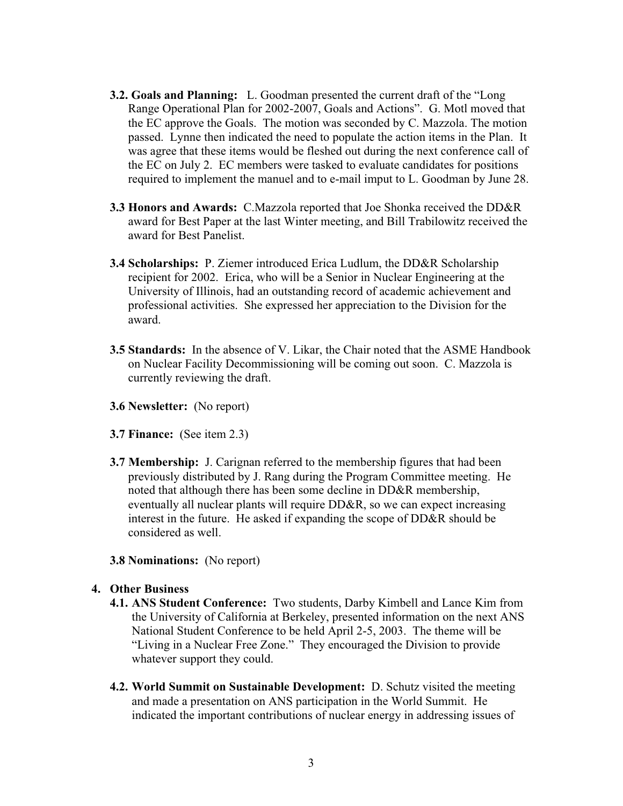- **3.2. Goals and Planning:** L. Goodman presented the current draft of the "Long Range Operational Plan for 2002-2007, Goals and Actions". G. Motl moved that the EC approve the Goals. The motion was seconded by C. Mazzola. The motion passed. Lynne then indicated the need to populate the action items in the Plan. It was agree that these items would be fleshed out during the next conference call of the EC on July 2. EC members were tasked to evaluate candidates for positions required to implement the manuel and to e-mail imput to L. Goodman by June 28.
- **3.3 Honors and Awards:** C.Mazzola reported that Joe Shonka received the DD&R award for Best Paper at the last Winter meeting, and Bill Trabilowitz received the award for Best Panelist.
- **3.4 Scholarships:** P. Ziemer introduced Erica Ludlum, the DD&R Scholarship recipient for 2002. Erica, who will be a Senior in Nuclear Engineering at the University of Illinois, had an outstanding record of academic achievement and professional activities. She expressed her appreciation to the Division for the award.
- **3.5 Standards:** In the absence of V. Likar, the Chair noted that the ASME Handbook on Nuclear Facility Decommissioning will be coming out soon. C. Mazzola is currently reviewing the draft.
- **3.6 Newsletter:** (No report)
- **3.7 Finance:** (See item 2.3)
- **3.7 Membership:** J. Carignan referred to the membership figures that had been previously distributed by J. Rang during the Program Committee meeting. He noted that although there has been some decline in DD&R membership, eventually all nuclear plants will require DD&R, so we can expect increasing interest in the future. He asked if expanding the scope of DD&R should be considered as well.
- **3.8 Nominations:** (No report)
- **4. Other Business**
	- **4.1. ANS Student Conference:** Two students, Darby Kimbell and Lance Kim from the University of California at Berkeley, presented information on the next ANS National Student Conference to be held April 2-5, 2003. The theme will be "Living in a Nuclear Free Zone." They encouraged the Division to provide whatever support they could.
	- **4.2. World Summit on Sustainable Development:** D. Schutz visited the meeting and made a presentation on ANS participation in the World Summit. He indicated the important contributions of nuclear energy in addressing issues of